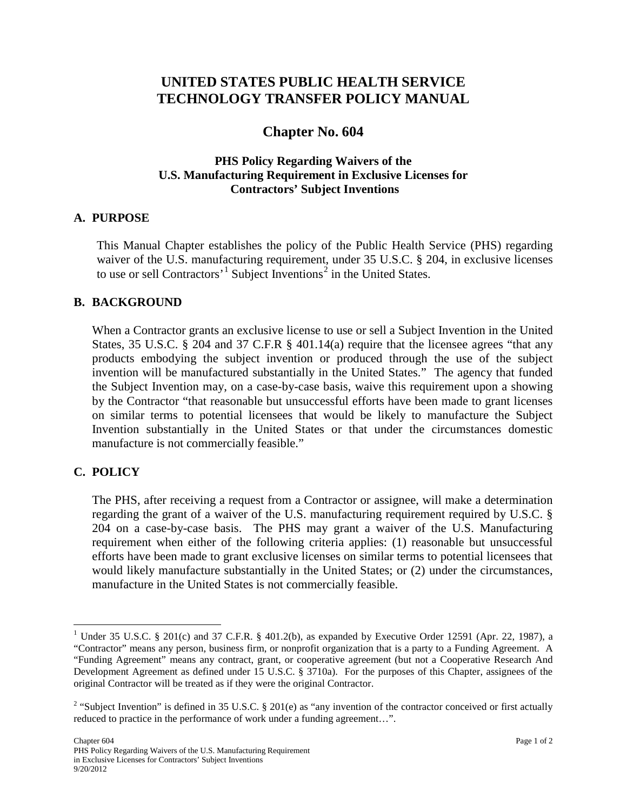# **UNITED STATES PUBLIC HEALTH SERVICE TECHNOLOGY TRANSFER POLICY MANUAL**

# **Chapter No. 604**

## **PHS Policy Regarding Waivers of the U.S. Manufacturing Requirement in Exclusive Licenses for Contractors' Subject Inventions**

#### **A. PURPOSE**

This Manual Chapter establishes the policy of the Public Health Service (PHS) regarding waiver of the U.S. manufacturing requirement, under 35 U.S.C. § 204, in exclusive licenses to use or sell Contractors<sup>'[1](#page-0-0)</sup> Subject Inventions<sup>[2](#page-0-1)</sup> in the United States.

### **B. BACKGROUND**

When a Contractor grants an exclusive license to use or sell a Subject Invention in the United States, 35 U.S.C. § 204 and 37 C.F.R § 401.14(a) require that the licensee agrees "that any products embodying the subject invention or produced through the use of the subject invention will be manufactured substantially in the United States." The agency that funded the Subject Invention may, on a case-by-case basis, waive this requirement upon a showing by the Contractor "that reasonable but unsuccessful efforts have been made to grant licenses on similar terms to potential licensees that would be likely to manufacture the Subject Invention substantially in the United States or that under the circumstances domestic manufacture is not commercially feasible."

# **C. POLICY**

The PHS, after receiving a request from a Contractor or assignee, will make a determination regarding the grant of a waiver of the U.S. manufacturing requirement required by U.S.C. § 204 on a case-by-case basis. The PHS may grant a waiver of the U.S. Manufacturing requirement when either of the following criteria applies: (1) reasonable but unsuccessful efforts have been made to grant exclusive licenses on similar terms to potential licensees that would likely manufacture substantially in the United States; or (2) under the circumstances, manufacture in the United States is not commercially feasible.

<span id="page-0-0"></span><sup>&</sup>lt;sup>1</sup> Under 35 U.S.C. § 201(c) and 37 C.F.R. § 401.2(b), as expanded by Executive Order 12591 (Apr. 22, 1987), a "Contractor" means any person, business firm, or nonprofit organization that is a party to a Funding Agreement. A "Funding Agreement" means any contract, grant, or cooperative agreement (but not a Cooperative Research And Development Agreement as defined under 15 U.S.C. § 3710a). For the purposes of this Chapter, assignees of the original Contractor will be treated as if they were the original Contractor.

<span id="page-0-1"></span><sup>&</sup>lt;sup>2</sup> "Subject Invention" is defined in 35 U.S.C. § 201(e) as "any invention of the contractor conceived or first actually reduced to practice in the performance of work under a funding agreement…".